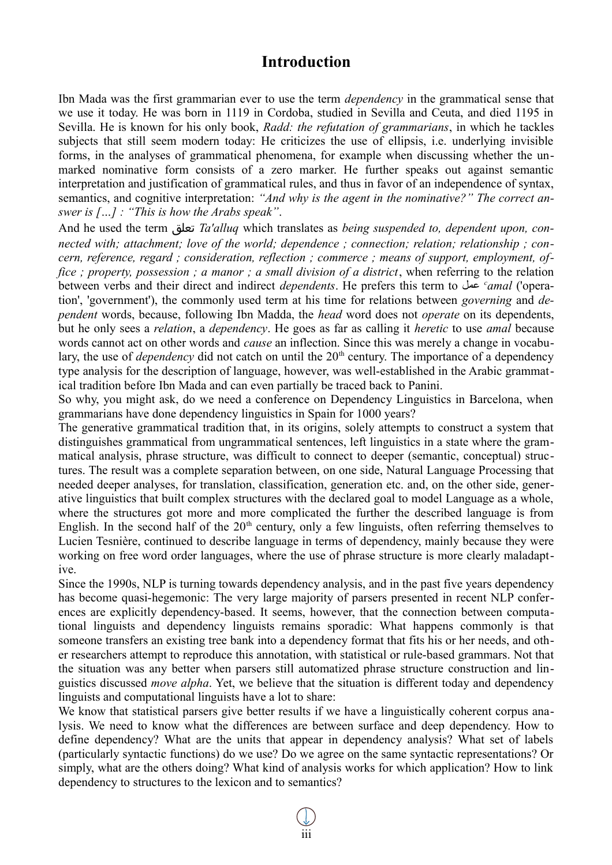## **Introduction**

Ibn Mada was the first grammarian ever to use the term *dependency* in the grammatical sense that we use it today. He was born in 1119 in Cordoba, studied in Sevilla and Ceuta, and died 1195 in Sevilla. He is known for his only book, *Radd: the refutation of grammarians*, in which he tackles subjects that still seem modern today: He criticizes the use of ellipsis, i.e. underlying invisible forms, in the analyses of grammatical phenomena, for example when discussing whether the unmarked nominative form consists of a zero marker. He further speaks out against semantic interpretation and justification of grammatical rules, and thus in favor of an independence of syntax, semantics, and cognitive interpretation: *"And why is the agent in the nominative?" The correct answer is […] : "This is how the Arabs speak"*.

And he used the term تعلق *Ta'alluq* which translates as *being suspended to, dependent upon, connected with; attachment; love of the world; dependence ; connection; relation; relationship ; concern, reference, regard ; consideration, reflection ; commerce ; means of support, employment, office ; property, possession ; a manor ; a small division of a district*, when referring to the relation between verbs and their direct and indirect *dependents*. He prefers this term to عمل *<sup>c</sup> amal* ('operation', 'government'), the commonly used term at his time for relations between *governing* and *dependent* words, because, following Ibn Madda, the *head* word does not *operate* on its dependents, but he only sees a *relation*, a *dependency*. He goes as far as calling it *heretic* to use *amal* because words cannot act on other words and *cause* an inflection. Since this was merely a change in vocabulary, the use of *dependency* did not catch on until the 20<sup>th</sup> century. The importance of a dependency type analysis for the description of language, however, was well-established in the Arabic grammatical tradition before Ibn Mada and can even partially be traced back to Panini.

So why, you might ask, do we need a conference on Dependency Linguistics in Barcelona, when grammarians have done dependency linguistics in Spain for 1000 years?

The generative grammatical tradition that, in its origins, solely attempts to construct a system that distinguishes grammatical from ungrammatical sentences, left linguistics in a state where the grammatical analysis, phrase structure, was difficult to connect to deeper (semantic, conceptual) structures. The result was a complete separation between, on one side, Natural Language Processing that needed deeper analyses, for translation, classification, generation etc. and, on the other side, generative linguistics that built complex structures with the declared goal to model Language as a whole, where the structures got more and more complicated the further the described language is from English. In the second half of the  $20<sup>th</sup>$  century, only a few linguists, often referring themselves to Lucien Tesnière, continued to describe language in terms of dependency, mainly because they were working on free word order languages, where the use of phrase structure is more clearly maladaptive.

Since the 1990s, NLP is turning towards dependency analysis, and in the past five years dependency has become quasi-hegemonic: The very large majority of parsers presented in recent NLP conferences are explicitly dependency-based. It seems, however, that the connection between computational linguists and dependency linguists remains sporadic: What happens commonly is that someone transfers an existing tree bank into a dependency format that fits his or her needs, and other researchers attempt to reproduce this annotation, with statistical or rule-based grammars. Not that the situation was any better when parsers still automatized phrase structure construction and linguistics discussed *move alpha*. Yet, we believe that the situation is different today and dependency linguists and computational linguists have a lot to share:

We know that statistical parsers give better results if we have a linguistically coherent corpus analysis. We need to know what the differences are between surface and deep dependency. How to define dependency? What are the units that appear in dependency analysis? What set of labels (particularly syntactic functions) do we use? Do we agree on the same syntactic representations? Or simply, what are the others doing? What kind of analysis works for which application? How to link dependency to structures to the lexicon and to semantics?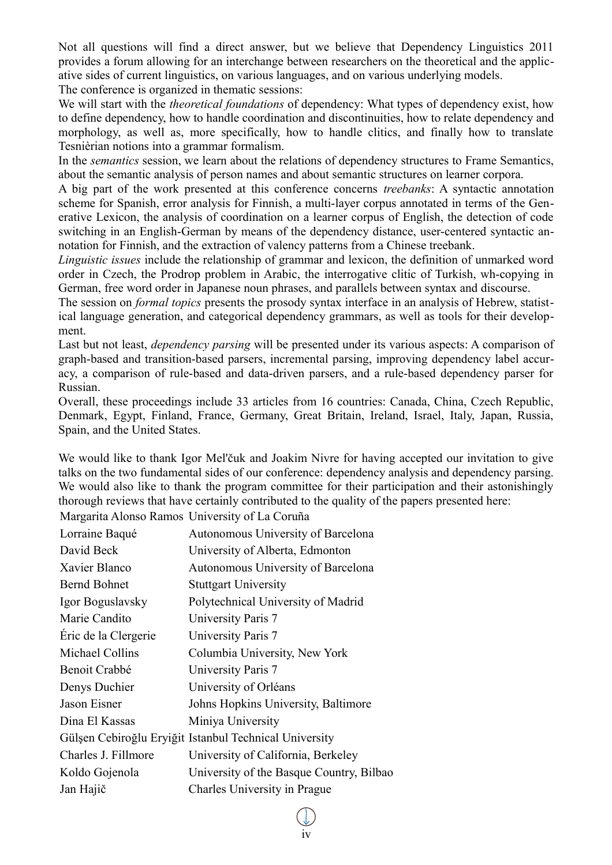Not all questions will find a direct answer, but we believe that Dependency Linguistics 2011 provides a forum allowing for an interchange between researchers on the theoretical and the applicative sides of current linguistics, on various languages, and on various underlying models.

The conference is organized in thematic sessions:

We will start with the *theoretical foundations* of dependency: What types of dependency exist, how to define dependency, how to handle coordination and discontinuities, how to relate dependency and morphology, as well as, more specifically, how to handle clitics, and finally how to translate Tesnièrian notions into a grammar formalism.

In the *semantics* session, we learn about the relations of dependency structures to Frame Semantics, about the semantic analysis of person names and about semantic structures on learner corpora.

A big part of the work presented at this conference concerns *treebanks*: A syntactic annotation scheme for Spanish, error analysis for Finnish, a multi-layer corpus annotated in terms of the Generative Lexicon, the analysis of coordination on a learner corpus of English, the detection of code switching in an English-German by means of the dependency distance, user-centered syntactic annotation for Finnish, and the extraction of valency patterns from a Chinese treebank.

*Linguistic issues* include the relationship of grammar and lexicon, the definition of unmarked word order in Czech, the Prodrop problem in Arabic, the interrogative clitic of Turkish, wh-copying in German, free word order in Japanese noun phrases, and parallels between syntax and discourse.

The session on *formal topics* presents the prosody syntax interface in an analysis of Hebrew, statistical language generation, and categorical dependency grammars, as well as tools for their development.

Last but not least, *dependency parsing* will be presented under its various aspects: A comparison of graph-based and transition-based parsers, incremental parsing, improving dependency label accuracy, a comparison of rule-based and data-driven parsers, and a rule-based dependency parser for Russian.

Overall, these proceedings include 33 articles from 16 countries: Canada, China, Czech Republic, Denmark, Egypt, Finland, France, Germany, Great Britain, Ireland, Israel, Italy, Japan, Russia, Spain, and the United States.

We would like to thank Igor Mel'čuk and Joakim Nivre for having accepted our invitation to give talks on the two fundamental sides of our conference: dependency analysis and dependency parsing. We would also like to thank the program committee for their participation and their astonishingly thorough reviews that have certainly contributed to the quality of the papers presented here:

Margarita Alonso Ramos University of La Coruña

| Lorraine Baqué       | Autonomous University of Barcelona                     |
|----------------------|--------------------------------------------------------|
| David Beck           | University of Alberta, Edmonton                        |
| Xavier Blanco        | Autonomous University of Barcelona                     |
| <b>Bernd Bohnet</b>  | <b>Stuttgart University</b>                            |
| Igor Boguslavsky     | Polytechnical University of Madrid                     |
| Marie Candito        | University Paris 7                                     |
| Éric de la Clergerie | University Paris 7                                     |
| Michael Collins      | Columbia University, New York                          |
| Benoit Crabbé        | University Paris 7                                     |
| Denys Duchier        | University of Orléans                                  |
| Jason Eisner         | Johns Hopkins University, Baltimore                    |
| Dina El Kassas       | Miniya University                                      |
|                      | Gülşen Cebiroğlu Eryiğit Istanbul Technical University |
| Charles J. Fillmore  | University of California, Berkeley                     |
| Koldo Gojenola       | University of the Basque Country, Bilbao               |
| Jan Hajič            | Charles University in Prague                           |